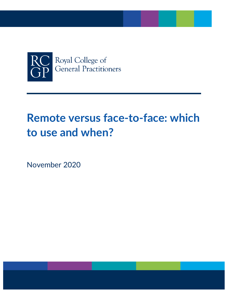

# **Remote versus face-to-face: which to use and when?**

November 2020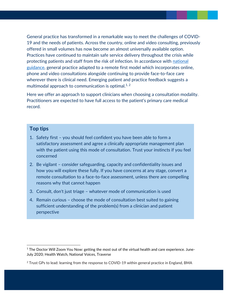General practice has transformed in a remarkable way to meet the challenges of COVID-19 and the needs of patients. Across the country, online and video consulting, previously offered in small volumes has now become an almost universally available option. Practices have continued to maintain safe service delivery throughout the crisis while protecting patients and staff from the risk of infection. In accordance with national [guidance,](https://www.england.nhs.uk/coronavirus/wp-content/uploads/sites/52/2020/03/CO485_guidance-and-standard-operating-procedures-general-practice-covid-19.pdf) general practice adapted to a remote first model which incorporates online, phone and video consultations alongside continuing to provide face-to-face care wherever there is clinical need. Emerging patient and practice feedback suggests a multimodal approach to communication is optimal. $1, 2$ 

Here we offer an approach to support clinicians when choosing a consultation modality. Practitioners are expected to have full access to the patient's primary care medical record.

## **Top tips**

- 1. Safety first you should feel confident you have been able to form a satisfactory assessment and agree a clinically appropriate management plan with the patient using this mode of consultation. Trust your instincts if you feel concerned
- 2. Be vigilant consider safeguarding, capacity and confidentiality issues and how you will explore these fully. If you have concerns at any stage, convert a remote consultation to a face-to-face assessment, unless there are compelling reasons why that cannot happen
- 3. Consult, don't just triage whatever mode of communication is used
- 4. Remain curious choose the mode of consultation best suited to gaining sufficient understanding of the problem(s) from a clinician and patient perspective

 $1$  The Doctor Will Zoom You Now: getting the most out of the virtual health and care experience. June-July 2020; Health Watch, National Voices, Traverse

<sup>&</sup>lt;sup>2</sup> Trust GPs to lead: learning from the response to COVID-19 within general practice in England, BMA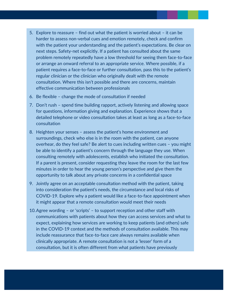- 5. Explore to reassure find out what the patient is worried about it can be harder to assess non-verbal cues and emotion remotely, check and confirm with the patient your understanding and the patient's expectations. Be clear on next steps. Safety-net explicitly. If a patient has consulted about the same problem remotely repeatedly have a low threshold for seeing them face-to-face or arrange an onward referral to an appropriate service. Where possible, if a patient requires a face-to-face or further consultation, pass this to the patient's regular clinician or the clinician who originally dealt with the remote consultation. Where this isn't possible and there are concerns, maintain effective communication between professionals
- 6. Be flexible change the mode of consultation if needed
- 7. Don't rush spend time building rapport, actively listening and allowing space for questions, information giving and explanation. Experience shows that a detailed telephone or video consultation takes at least as long as a face-to-face consultation
- 8. Heighten your senses assess the patient's home environment and surroundings, check who else is in the room with the patient, can anyone overhear, do they feel safe? Be alert to cues including written cues – you might be able to identify a patient's concern through the language they use. When consulting remotely with adolescents, establish who initiated the consultation. If a parent is present, consider requesting they leave the room for the last few minutes in order to hear the young person's perspective and give them the opportunity to talk about any private concerns in a confidential space
- 9. Jointly agree on an acceptable consultation method with the patient, taking into consideration the patient's needs, the circumstance and local risks of COVID-19. Explore why a patient would like a face-to-face appointment when it might appear that a remote consultation would meet their needs
- 10.Agree wording or 'scripts' to support reception and other staff with communications with patients about how they can access services and what to expect, explaining how services are working to keep patients (and others) safe in the COVID-19 context and the methods of consultation available. This may include reassurance that face-to-face care always remains available when clinically appropriate. A remote consultation is not a 'lesser' form of a consultation, but it is often different from what patients have previously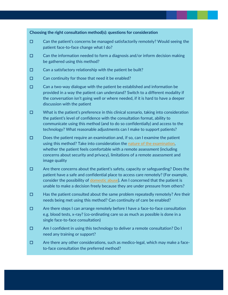#### **Choosing the right consultation method(s): questions for consideration**

- $\Box$  Can the patient's concerns be managed satisfactorily remotely? Would seeing the patient face-to-face change what I do?
- ☐ Can the information needed to form a diagnosis and/or inform decision making be gathered using this method?
- $\Box$  Can a satisfactory relationship with the patient be built?
- ☐ Can continuity for those that need it be enabled?
- $\Box$  Can a two-way dialogue with the patient be established and information be provided in a way the patient can understand? Switch to a different modality if the conversation isn't going well or where needed, if it is hard to have a deeper discussion with the patient
- $\Box$  What is the patient's preference in this clinical scenario, taking into consideration the patient's level of confidence with the consultation format, ability to communicate using this method (and to do so confidentially) and access to the technology? What reasonable adjustments can I make to support patients?
- $\Box$  Does the patient require an examination and, if so, can I examine the patient using this method? Take into consideration the [nature of the examination,](https://www.gmc-uk.org/-/media/files/key_principles_for_intimate_clinical_assessments_undertaken_remotely_in_response_to_covid19_v1-(1).pdf?la=en&hash=0A7816F6A8DA9240D7FCF5BDF28D5D98F1E7B194) whether the patient feels comfortable with a remote assessment (including concerns about security and privacy), limitations of a remote assessment and image quality
- ☐ Are there concerns about the patient's safety, capacity or safeguarding? Does the patient have a safe and confidential place to access care remotely? (For example, consider the possibility of [domestic abuse\)](https://pdfhost.io/v/EaI78LLgC_IRISi_COVID19_Doc_and_info_sheets.pdf). Am I concerned that the patient is unable to make a decision freely because they are under pressure from others?
- ☐ Has the patient consulted about the same problem repeatedly remotely? Are their needs being met using this method? Can continuity of care be enabled?
- ☐ Are there steps I can arrange remotely before I have a face-to-face consultation e.g. blood tests, x-ray? (co-ordinating care so as much as possible is done in a single face-to-face consultation)
- ☐ Am I confident in using this technology to deliver a remote consultation? Do I need any training or support?
- $\Box$  Are there any other considerations, such as medico-legal, which may make a faceto-face consultation the preferred method?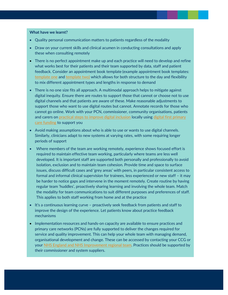#### **What have we learnt?**

- Quality personal communication matters to patients regardless of the modality
- Draw on your current skills and clinical acumen in conducting consultations and apply these when consulting remotely
- There is no perfect appointment make up and each practice will need to develop and refine what works best for their patients and their team supported by data, staff and patient feedback. Consider an appointment book template (example appointment book templates: [template one](https://future.nhs.uk/connect.ti/DigitalPC/view?objectId=66062469) and [template two\)](https://future.nhs.uk/connect.ti/DigitalPC/viewdocument?docid=80841445&fid=18991760) which allows for both structure to the day and flexibility to mix different appointment types and lengths in response to demand
- There is no one size fits all approach. A multimodal approach helps to mitigate against digital inequity. Ensure there are routes to support those that cannot or choose not to use digital channels and that patients are aware of these. Make reasonable adjustments to support those who want to use digital routes but cannot. Annotate records for those who cannot go online. Work with your PCN, commissioner, community organisations, patients and carers on [practical steps to improve digital inclusion](https://digital.nhs.uk/about-nhs-digital/our-work/digital-inclusion) locally using digital first primary [care funding](https://future.nhs.uk/DigitalPC/view?objectID=77537061) to support you
- Avoid making assumptions about who is able to use or wants to use digital channels. Similarly, clinicians adapt to new systems at varying rates, with some requiring longer periods of support
- Where members of the team are working remotely, experience shows focused effort is required to maintain effective team working, particularly where teams are less well developed. It is important staff are supported both personally and professionally to avoid isolation, exclusion and to maintain team cohesion. Provide time and space to surface issues, discuss difficult cases and 'grey areas' with peers, in particular consistent access to formal and informal clinical supervision for trainees, less experienced or new staff – it may be harder to notice gaps and intervene in the moment remotely. Create routine by having regular team 'huddles', proactively sharing learning and involving the whole team. Match the modality for team communications to suit different purposes and preferences of staff. This applies to both staff working from home and at the practice
- It's a continuous learning curve proactively seek feedback from patients and staff to improve the design of the experience. Let patients know about practice feedback mechanisms
- Implementation resources and hands-on capacity are available to ensure practices and primary care networks (PCNs) are fully supported to deliver the changes required for service and quality improvement. This can help your whole team with managing demand, organisational development and change. These can be accessed by contacting your CCG or your [NHS England and NHS](mailto:englanddigitalfirstprimarycare@nhs.net) Improvement regional team. Practices should be supported by their commissioner and system suppliers.